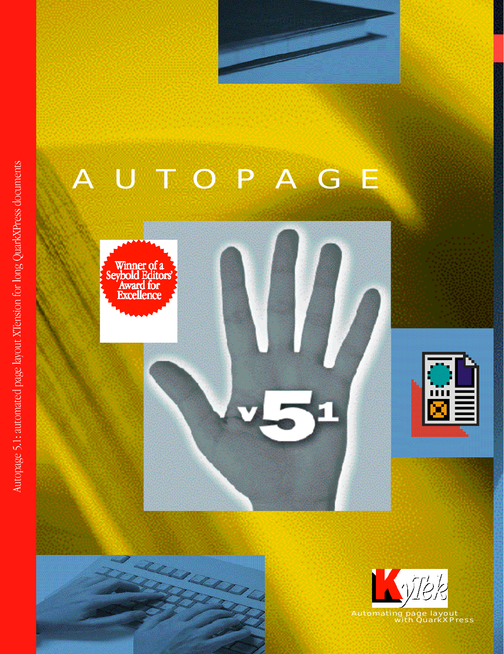

# A U T O P A G E







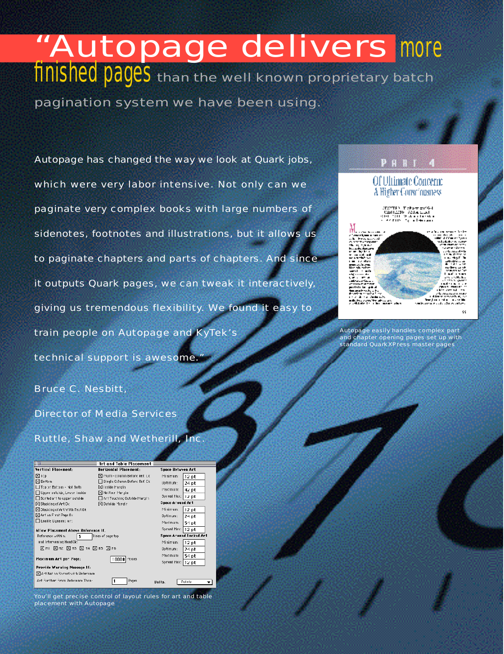# "Autopage delivers more finished pages than the well known proprietary batch

pagination system we have been using.

Autopage has changed the way we look at Quark jobs, which were very labor intensive. Not only can we paginate very complex books with large numbers of sidenotes, footnotes and illustrations, but it allows us to paginate chapters and parts of chapters. And since it outputs Quark pages, we can tweak it interactively, giving us tremendous flexibility. We found it easy to train people on Autopage and KyTek's technical support is awesome.



# Of Ultimate Concern: A Higher Consciousness





Autopage easily handles complex part and chapter opening pages set up with standard QuarkXPress master pages

Bruce C. Nesbitt.

Director of Media Services

Ruttle, Shaw and Wetherill, Inc.

| 3 T                                      | <b>Art and Table Placement</b> |                          |
|------------------------------------------|--------------------------------|--------------------------|
| Vertical Placement:                      | Horizontal Placement:          | Space Between Art        |
| 冈lop                                     | Multi-column Before Ref. Uk    | Minimum:<br>$12$ pt      |
| ⊠ Bettom                                 | Single Column Beford Ref. Ck   | Uptimum:<br>24 pt        |
| □ Tcp or Bottom - Not Both               | ⊠ Irside Margin                | Plaximum:<br>42 pt       |
| Upper outside, Lower inside              | Neither Margin                 |                          |
| Scried art to upper outside              | Art Touching Outside Margin    | Spread Max:     2 pt     |
| <b>⊠Stacking of Art O&lt;</b>            | 冈Outside Margir                | <b>Space Around Art</b>  |
| $\boxtimes$ Stacking of Art With Text Ok |                                | Mi ni mum:<br>$12$ pt    |
| ⊠ Art on First Page Bo                   |                                | Optimum:<br>24 pt        |
| Enable Cynamic Art                       |                                | Maximum:<br>54 pt        |
| Allow Platement Above Reference If.      |                                | Spread Maxill<br>$12$ pt |
| Reference within:<br>3                   | lines of page top              | Space Around Locked Art  |
| and Intervening Head Ok:                 |                                | Minimum:<br>$12$ pt      |
| 区HI 図H2 図H3 図 14 図 H5 図 H6               |                                | Optimum:<br>24 pt        |
| Maximum Art per Page:                    | 10000<br>Pieces                | mum txem<br>54 pt        |
|                                          |                                | Spread Max: 12 pt        |
| Provide Warning Message If:              |                                |                          |
| ⊠ Art Net an Sareat vith Reference.      |                                |                          |
| Art Eurther Emm Reference Than:          | Pages                          | Pointo<br>llnits.        |

You'll get precise control of layout rules for art and table placement with Autopage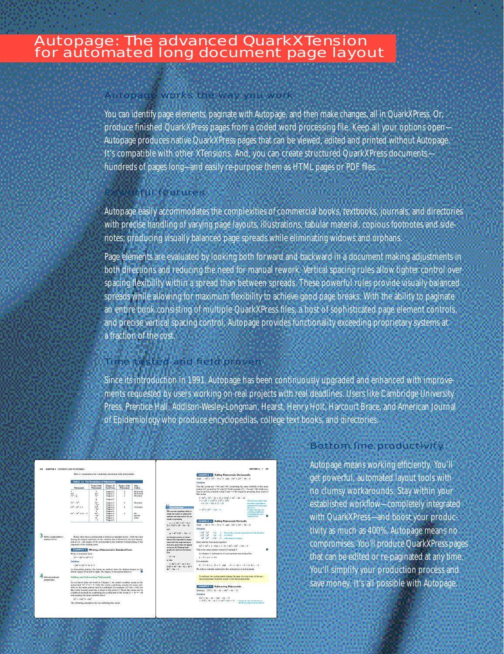## Autopage works the way you work

You can identify page elements, paginate with Autopage, and then make changes, all in QuarkXPress. Or, produce finished QuarkXPress pages from a coded word processing file. Keep all your options open— Autopage produces native QuarkXPress pages that can be viewed, edited and printed without Autopage. It's compatible with other XTensions. And, you can create structured QuarkXPress documents hundreds of pages long—and easily re-purpose them as HTML pages or PDF files.

## **Fful features**

Autopage easily accommodates the complexities of commercial books, textbooks, journals, and directories with precise handling of varying page layouts, illustrations, tabular material, copious footnotes and sidenotes; producing visually balanced page spreads while eliminating widows and orphans.

Page elements are evaluated by looking both forward and backward in a document making adjustments in both directions and reducing the need for manual rework. Vertical spacing rules allow tighter control over spacing flexibility within a spread than between spreads. These powerful rules provide visually balanced spreads while allowing for maximum flexibility to achieve good page breaks. With the ability to paginate an entire book consisting of multiple QuarkXPress files, a host of sophisticated page element controls, and precise vertical spacing control, Autopage provides functionality exceeding proprietary systems at a fraction of the cost.

# Time tested and field proven

Since its introduction in 1991, Autopage has been continuously upgraded and enhanced with improvements requested by users working on real projects with real deadlines. Users like Cambridge University Press, Prentice Hall, Addison-Wesley-Longman, Hearst, Henry Holt, Harcourt Brace, and American Journal of Epidemiology who produce encyclopedias, college text books, and directories.

| CHAPTER 6 EXPONENTS AND POINTOIRES                               |                                                                                                                                                                                                                                                                                                                                                                                                                                                                                                                                       |                                         |                                              |                                                |                                                  |                                                                        |                                                                                                    |                                                                                                                                                                                                                                                                             | SECTION 6 - 1 419                                                          |
|------------------------------------------------------------------|---------------------------------------------------------------------------------------------------------------------------------------------------------------------------------------------------------------------------------------------------------------------------------------------------------------------------------------------------------------------------------------------------------------------------------------------------------------------------------------------------------------------------------------|-----------------------------------------|----------------------------------------------|------------------------------------------------|--------------------------------------------------|------------------------------------------------------------------------|----------------------------------------------------------------------------------------------------|-----------------------------------------------------------------------------------------------------------------------------------------------------------------------------------------------------------------------------------------------------------------------------|----------------------------------------------------------------------------|
| Table 6.1 summarizes the vocabulary associated with polynomials. |                                                                                                                                                                                                                                                                                                                                                                                                                                                                                                                                       |                                         |                                              |                                                | <b>EXAMPLE 3</b> Adding Polynomials Horizontally |                                                                        |                                                                                                    |                                                                                                                                                                                                                                                                             |                                                                            |
|                                                                  |                                                                                                                                                                                                                                                                                                                                                                                                                                                                                                                                       |                                         |                                              |                                                |                                                  |                                                                        |                                                                                                    | $AdS = 9x^3 + 7x^2 - 5x + 5$ and $13x^3 + 2x^2 - 8x - 6$                                                                                                                                                                                                                    |                                                                            |
|                                                                  | TABLE &I The Yocabulary of Polynomials                                                                                                                                                                                                                                                                                                                                                                                                                                                                                                |                                         |                                              |                                                |                                                  |                                                                        |                                                                                                    | Selution                                                                                                                                                                                                                                                                    |                                                                            |
|                                                                  | <b>Palynomial</b><br>÷                                                                                                                                                                                                                                                                                                                                                                                                                                                                                                                | Tenus of the<br><b>Palynomial</b><br>л. | Degree of<br>Each Term<br>Degree 0           | Degree of the<br><b>Polynomial</b><br>$\Omega$ | Ake<br>Called<br>Montan ist                      |                                                                        |                                                                                                    | The like terms are $-9x^3$ and $13x^3$ , containing the same variable to the same<br>power $(x^3)$ , as well as $7x^2$ and $2x^2$ (both contain $x^2$ ), $-5x$ and $-8x$ (both con-<br>$tain x$ ) and the constant terms $3$ and $-6$ . We begin by grouping these pairs of |                                                                            |
|                                                                  | $4x^2$<br>$7x^{3} + 4$                                                                                                                                                                                                                                                                                                                                                                                                                                                                                                                | dx <sup>3</sup><br>$7x^2$               | Degree 3<br>Degree 2                         | ×<br>$\overline{a}$                            | Monon is!<br><b>Hincesial</b>                    |                                                                        |                                                                                                    | like terms.<br>$(-9x^2 + 7x^2 - 5x + 3) + (13x^2 + 2x^2 - 8x - 6)$                                                                                                                                                                                                          |                                                                            |
|                                                                  | $5x^4 - 7x^2$                                                                                                                                                                                                                                                                                                                                                                                                                                                                                                                         | ÷<br>Saf                                | Derec0<br>Degree 4                           | $\mathbf{d}$                                   | Binomial                                         |                                                                        |                                                                                                    | $-(-2x^2 + 13x^2) + (7x^2 + 2x^3)$<br>$+(5x - 8x) + (3 - 6)$                                                                                                                                                                                                                | Un the computative and<br>associative properties to                        |
|                                                                  | $2x^2 - 4x^2 + 3$                                                                                                                                                                                                                                                                                                                                                                                                                                                                                                                     | $-7x^2$<br>24<br>$-4e3$<br>$\mathbf{I}$ | Degree 2<br>Degree &<br>Degree 2<br>Degree 0 | ×                                              | Triacentel                                       | ring technology                                                        | We can use a crachina utility to                                                                   | $=4x^2+6x^2-18x-8$                                                                                                                                                                                                                                                          | reassage terms grouping<br><b>However</b><br>Combine like better by        |
|                                                                  | $6x^4 - 3x^3 + 2x - 5$                                                                                                                                                                                                                                                                                                                                                                                                                                                                                                                | Auto<br>- 14<br>2x                      | Degree 4<br>Degree 3<br>Degree 1             | $\boldsymbol{A}$                               | No<br>mecial<br>tane                             |                                                                        | check the results of polynomial<br>addition and authraction. For ex-                               |                                                                                                                                                                                                                                                                             | containg coeffeices<br>and keeping the cane<br><b><i>VANADA Durant</i></b> |
|                                                                  |                                                                                                                                                                                                                                                                                                                                                                                                                                                                                                                                       | - 5                                     | Derree 0                                     |                                                |                                                  | an pib, try graphing                                                   | $m = 1 - 9x^2 + 2x^2 - 5x +$                                                                       | <b>EXAMPLE 4 Adding Polynomials Vertically</b>                                                                                                                                                                                                                              |                                                                            |
|                                                                  |                                                                                                                                                                                                                                                                                                                                                                                                                                                                                                                                       |                                         |                                              |                                                |                                                  | $20 + (12x^2 + 2x^2 - 8x - 6)$                                         |                                                                                                    | Add: $-9x^2 + 7x^2 - 5x + 3$ and $13x^2 + 2x^2 - 8x - 6$<br>Selution                                                                                                                                                                                                        |                                                                            |
| Write a potenomial in<br>standard for m.                         | Notice that when a polynomial is written in standard form-with the term<br>having the largest exponent on the variable first, followed by the next largest,<br>and so on-the degree of the polynomial is the number corresponding to the<br>exponent of the leading term.                                                                                                                                                                                                                                                             |                                         |                                              |                                                |                                                  | on the sen e screen, as shown<br>most with the range setting so        | $w = 4x^3 + 2x^2 - 13x - 3$<br>below. (You may need to experi-<br>that your craph does not appear. | $-9x^2 - 7x^2 = -5x = -3$ We consider each term repursing and waits like terms<br>$13x^3 - 2x^2 = -8x = -6$ is otherwise.<br>$4x^2 - 9x^2 = -13x = -3$ A.65, column by column.<br>Now add the four sums together:<br>$4x^3 + 9x^2 + (-13x) + (-3) = 4x^3 + 9x^2 - 13x - 3$  |                                                                            |
|                                                                  | <b>EXAMPLE 2</b> Writing a Polynomial in Standard Form<br>Write in standard form:                                                                                                                                                                                                                                                                                                                                                                                                                                                     |                                         |                                              |                                                |                                                  | to be gut of 3 Beguns both<br>greate are identical this shows.<br>that |                                                                                                    | This is the same answer found in Example 3.<br>In Chapter 1, subtraction of real numbers was defined by                                                                                                                                                                     |                                                                            |
|                                                                  | $7x^2 - 9x^6 + 5x^4 + 3$                                                                                                                                                                                                                                                                                                                                                                                                                                                                                                              |                                         |                                              |                                                |                                                  | $y_1 = y_2$                                                            |                                                                                                    | $a - b - a + (-b)$ .                                                                                                                                                                                                                                                        |                                                                            |
|                                                                  |                                                                                                                                                                                                                                                                                                                                                                                                                                                                                                                                       |                                         |                                              |                                                |                                                  | or that                                                                |                                                                                                    | For example.                                                                                                                                                                                                                                                                |                                                                            |
|                                                                  | Solution                                                                                                                                                                                                                                                                                                                                                                                                                                                                                                                              |                                         |                                              |                                                |                                                  |                                                                        | $(-9x^2 + 2x^2 - 5x + 3) +$                                                                        | $8 - 3 - 8 + (-3) - 5$ and $-9 - (-4) - (-9 + (+4) - (-5)$                                                                                                                                                                                                                  |                                                                            |
|                                                                  | $-9x^3 + 5x^4 + 7x^2 + 3$<br>In descending powers, the terms are written from the highest degree to the<br>lowest degree from left to right. The degree of the polynomial is 6.                                                                                                                                                                                                                                                                                                                                                       |                                         |                                              |                                                |                                                  | $2x^2 - 13x - 3$ .                                                     | $(13x^2 + 2x^2 - 8x - 6) = 4x^2 +$                                                                 | We follow a similar method for the subtraction of polynomials.                                                                                                                                                                                                              |                                                                            |
| Add and 9 iteract                                                | <b>Adding and Subtracting Pohmomials</b>                                                                                                                                                                                                                                                                                                                                                                                                                                                                                              |                                         |                                              |                                                |                                                  |                                                                        |                                                                                                    | To subtract two polynomials change the sign of every term of the sec-<br>ond polynomial. Add this result to the first polynomial.                                                                                                                                           |                                                                            |
| potynomias.                                                      | As we know from our work in Chapter 1, we cannot combine terms in the<br>polynomial $3x^2 + 7x - 5$ . Only like terms containing exactly the same vari-<br>ables to the same powers may be combined. For example, $2x^3$ and $= 10x^3$ are<br>like terms because each has x raised to the power 3. These like terms can be<br>combined mentally by combining the coefficients of the terms $(2 - 10 = -8)$<br>and keeping the same variable factor.<br>$2x^2 - 10x^2 = -8x^2$<br>The following examples rely on combining like terms. |                                         |                                              |                                                |                                                  |                                                                        |                                                                                                    | <b>EXAMPLE 5</b> Subtracting Polynomials<br>Subtract: $(7x^2 + 3x - 4) - (4x^2 - 6x - 7)$<br>Selution<br>$(x^2 + 3x - 4) = (4x^2 - 6x - 7)$<br>$- (7x^2 + 3x - 4) + (-4x^2 + 6x + 7)$                                                                                       | Change the sign of each term of<br>the record a dynamial and add the       |
|                                                                  |                                                                                                                                                                                                                                                                                                                                                                                                                                                                                                                                       |                                         |                                              |                                                |                                                  |                                                                        |                                                                                                    |                                                                                                                                                                                                                                                                             |                                                                            |

# Bottom line productivity

Autopage means working efficiently. You'll get powerful, automated layout tools with no clumsy workarounds. Stay within your established workflow-completely integrated with QuarkXPress—and boost your productivity as much as 400%. Autopage means no compromises. You'll produce QuarkXPress pages that can be edited or re-paginated at any time. You'll simplify your production process and save money. It's all possible with Autopage.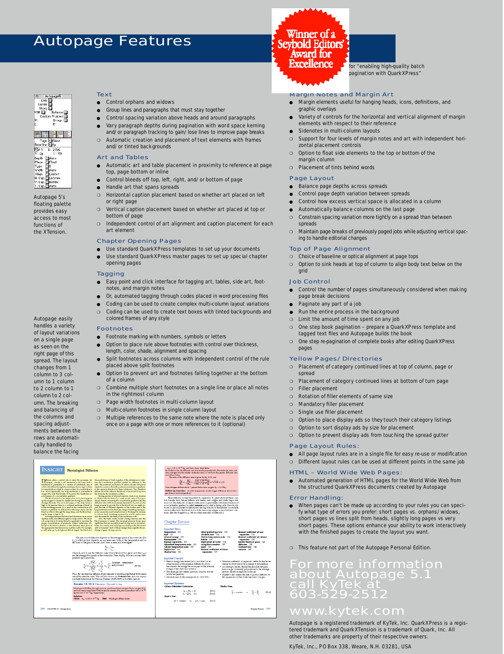# **Autopage Features**



for "enabling high-quality batch pagination with Quark XPress"

#### **Margin Notes and Margin Art**

- Margin elements useful for hanging heads, icons, definitions, and graphic overlays
- Variety of controls for the horizontal and vertical alignment of margin elements with respect to their reference
- Sidenotes in multi-column layouts
- Support for four levels of margin notes and art with independent horizontal placement controls
- ❍ Option to float side elements to the top or bottom of the margin column
- o Placement of tints behind words

#### Page Layout

- Balance page depths across spreads
- Control page depth variation between spreads
- Control how excess vertical space is allocated in a column
- Automatically balance columns on the last page
- ❍ Constrain spacing variation more tightly on a spread than between spreads
- ❍ Maintain page breaks of previously paged jobs while adjusting vertical spacing to handle editorial changes

#### Top of Page Alignment

- ❍ Choice of baseline or optical alignment at page tops
- ❍ Option to sink heads at top of column to align body text below on the grid

#### Job Contro l

- Control the number of pages simultaneously considered when making page break decisions
- Paginate any part of a job
- $\bullet$  Run the entire process in the background
- ❍ Limit the amount of time spent on any job
- One step book pagination prepare a QuarkXPress template and tagged text files and Autopage builds the book
- One step re-pagination of complete books after editing QuarkXPress pages

#### Yellow Pages/Directories

- ❍ Placement of category continued lines at top of column, page or spread
- ❍ Placement of category continued lines at bottom of turn page
- ❍ Filler placement
- ❍ Rotation of filler elements of same size
- o Mandatory filler placement
- ❍ Single use filler placement
- ❍ Option to place display ads so they touch their category listings
- ❍ Option to sort display ads by size for placement
- Option to prevent display ads from touching the spread gutter

#### Page Layout Rules:

- All page layout rules are in a single file for easy re-use or modification
- ◯ Different layout rules can be used at different points in the same job

#### HTML – World Wide Web Pages:

Automated generation of HTML pages for the World Wide Web from the structured QuarkXPress documents created by Autopage

#### **Error Handling:**

When pages can't be made up according to your rules you can specify what type of errors you prefer: short pages vs. orphans/widows, short pages vs lines split from heads, slightly long pages vs very short pages. These options enhance your ability to work interactively with the finished pages to create the layout you want.

❍ This feature not part of the Autopage Personal Edition.

# For more information about Autopage 5.1 call KyTek at can ryfer at

# www.kytek.com

Autopage is a registered trademark of KyTek, Inc. QuarkXPress is a registered trademark and QuarkXTension is a trademark of Quark, Inc. All other trademarks are property of their respective owners.

Ky Tek, Inc., PO Box 338, Weare, N.H. 03281, USA

**Text** 

- Control orphans and widows
- Group lines and paragraphs that must stay together
- Control spacing variation above heads and around paragraphs • Vary paragraph depths during pagination with word space kerning and/or paragraph tracking to gain/lose lines to improve page breaks
- ❍ Automatic creation and placement of text elements with frames and/or tinted backgrounds

#### **Art and Tables**

- Automatic art and table placement in proximity to reference at page top, page bottom or inline
- Control bleeds off top, left, right, and/or bottom of page
- Handle art that spans spreads
- ❍ Horizontal caption placement based on whether art placed on left or right page
- Vertical caption placement based on whether art placed at top or bottom of page
- o Independent control of art alignment and caption placement for each art element

#### Chapter Opening Pages

- Use standard QuarkXPress templates to set up your documents
- Use standard QuarkXPress master pages to set up special chapter opening pages

#### **Tagging**

- Easy point and click interface for tagging art, tables, side art, footnotes, and margin notes
- Or, automated tagging through codes placed in word processing files
- Coding can be used to create complex multi-column layout variations
- ❍ Coding can be used to create text boxes with tinted backgrounds and colored frames of any style

#### **Footnotes**

- Footnote marking with numbers, symbols or letters
- Option to place rule above footnotes with control over thickness, length, color, shade, alignment and spacing
- Split footnotes across columns with independent control of the rule placed above split footnotes
- Option to prevent art and footnotes falling together at the bottom of a column
- ❍ Combine multiple short footnotes on a single line or place all notes in the rightmost column
- ❍ Page width footnotes in multi-column layout
- ❍ Multi-column footnotes in single column layout
- o Multiple references to the same note where the note is placed only once on a page with one or more references to it (optional)

of layout variations on a single page as seen on the right page of this spread. The layout changes from 1 column to 3 column to 1 column to 2 column to 1 column to 2 column. The breaking and balancing of the columns and spacing adjustments between the rows are automatically handled to balance the facing

Autopage easily handles a variety

Autopage 5's floating palette p rovides easy access to most functions of the XTension

a Autopage®<br>
Link D<br>
Unlink D<br>
Story D<br>
VSB Dalance<br>
VSB Dalance 3007 y Balance D<br>Custom Frames D<br>- Group D<br>- R:

|劉雲||『三

Example: Tags [Boboy]<br>
Baseline Dirp<br>
ClA1 D: 27p6<br>
S: Op L: Op<br>
Place Dirp<br>
Place Dirp<br>
Width [D]<br>
Might Align Dirp<br>
Vidth [D]<br>
Might Align Dirp<br>
V. Cap [D]<br>
Might T. Cap [D]<br>
Align T. Cap [D]<br>
Align T. Cap [D]<br>
Align T.





the rate of pozous diffusion tuxe.<br>'0 K) cozzasponds to −273.15°C

**Important Equations**  $\begin{array}{c} T_{\mathfrak{p}} = \frac{9}{2}T_{\mathfrak{q}} + 32 \\ T_{\mathfrak{q}} = \frac{5}{6}(T_{\mathfrak{p}} - 32) \end{array}$  $\begin{smallmatrix} (10.1)\\ (10.2) \end{smallmatrix}$  $\frac{V}{T}$  = constant or  $\frac{V_1}{T_1} = \frac{V_2}{T_2}$  (10.4) **Boyle's Law**  $\rho V = \text{constant} \qquad \text{or} \qquad \rho_1 V_1 = \rho_2 V_1 \qquad \text{(10.3)}$ 

Chapter Neview 347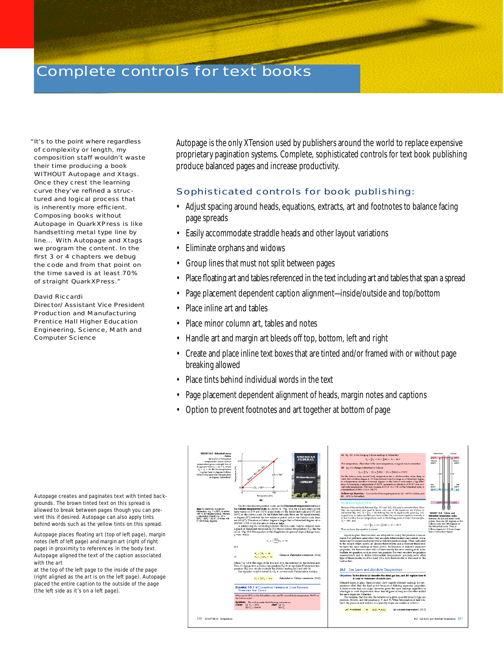# Complete controls for text books

"It's to the point where regardless of complexity or length, my composition staff wouldn't waste their time producing a book WITHOUT Autopage and Xtags. Once they crest the learning curve they've refined a structured and logical process that is inherently more efficient. Composing books without Autopage in QuarkXPress is like handsetting metal type line by line… With Autopage and Xtags we program the content. In the first 3 or 4 chapters we debug the code and from that point on the time saved is at least 70% of straight QuarkXPress."

#### David Riccardi

Director/Assistant Vice President Production and Manufacturing Prentice Hall Higher Education Engineering, Science, Math and Computer Science

Autopage is the only XTension used by publishers around the world to replace expensive proprietary pagination systems. Complete, sophisticated controls for text book publishing produce balanced pages and increase productivity.

### Sophisticated controls for book publishing:

- Adjust spacing around heads, equations, extracts, art and footnotes to balance facing page spreads
- Easily accommodate straddle heads and other layout variations
- Eliminate orphans and widows
- Group lines that must not split between pages
- Place floating art and tables referenced in the text including art and tables that span a spread
- Page placement dependent caption alignment—inside/outside and top/bottom
- Place inline art and tables
- Place minor column art, tables and notes
- Handle art and margin art bleeds off top, bottom, left and right
- Create and place inline text boxes that are tinted and/or framed with or without page breaking allowed
- Place tints behind individual words in the text
- Page placement dependent alignment of heads, margin notes and captions
- Option to prevent footnotes and art together at bottom of page

| · FIGURE 10.5 Fahrenheit versus<br>Celsias<br>(a) A plot of Fabrenheit<br>temperature versus Celsius<br>temperature gives a straight line of<br>the general form $y = mx + b$ , where<br>$T_{\rm r} = T_{\rm c} + 32$ . (b) The temperature<br>is given here in degrees Celsius.<br>What is the equivalent temperature<br>in degrees Fahrenheit? | AMERICAN<br><b>FEDERAL</b><br>212<br>$\Delta T_4 = 180^{\circ}$<br>24 Hour Banker<br><b><i>SHIRELAY</i></b><br>$47e + 100^{\circ} - \cdots -$<br>100<br>n<br>Temperature (°C)<br>(a)                                                                                                                                                                                                                                                                                                                                                                                                                                                                                                                                                                                                                                                                                                                                                                                                                                                                                                                                                                                                                                                                                                                                         | (a) Eq. 10.1 is for changing Colsius readings to Fahrenheit:<br>$T_Y = \frac{9}{5}T_C + 32 = \frac{9}{5}(20) + 32 = 68^{\circ}T$<br>This temperature, often taken to be room temperature, is a good one to remember.<br>(b) Eq. 10.2 changes Fahrenheit to Celsius:<br>$T_{\rm C} = \frac{4}{6}(T_{\rm F} - 32) = \frac{4}{3}(98.6 - 32) = \frac{4}{3}(66.6) = 37.0^{\circ}\text{C}$<br>On the Colsius scale, normal body temperature has a whole-number value. Keep in<br>mind that a Cubius degree is 1.8 times (almost twice) as large as a Fahrenheit degree,<br>so a temperature elevation of several degrees on the Colsius scale makes a big differ-<br>ence. For example, a temperature of 40,0°C represents an elevation of 3.0 C° over nor-<br>mal body temperature. This is an increase of $3.0 \times 1.8 = 5.4^{\circ}$ on the Fahrenheit scale, or<br>a lumperature of $98.6 + 5.4 = 104.0$ <sup>o</sup> F.<br>Follow-up Exercise. Convert the following temperature: (a) -40°F to Celsius, and<br>(b) -+0°C to Fahrenheit.                                                                                                                                                                                                                                                                                                                                                                                                  | <b>Hotel Andrew</b><br>Calence<br>212°F<br>100°C<br><b>Steam</b><br>Staten.<br>point<br>pont<br>100<br>100<br>ke.<br>point<br>pont<br>$32^{n}F - -1$<br>$\alpha$ c                                                                                                                                         |
|--------------------------------------------------------------------------------------------------------------------------------------------------------------------------------------------------------------------------------------------------------------------------------------------------------------------------------------------------|------------------------------------------------------------------------------------------------------------------------------------------------------------------------------------------------------------------------------------------------------------------------------------------------------------------------------------------------------------------------------------------------------------------------------------------------------------------------------------------------------------------------------------------------------------------------------------------------------------------------------------------------------------------------------------------------------------------------------------------------------------------------------------------------------------------------------------------------------------------------------------------------------------------------------------------------------------------------------------------------------------------------------------------------------------------------------------------------------------------------------------------------------------------------------------------------------------------------------------------------------------------------------------------------------------------------------|--------------------------------------------------------------------------------------------------------------------------------------------------------------------------------------------------------------------------------------------------------------------------------------------------------------------------------------------------------------------------------------------------------------------------------------------------------------------------------------------------------------------------------------------------------------------------------------------------------------------------------------------------------------------------------------------------------------------------------------------------------------------------------------------------------------------------------------------------------------------------------------------------------------------------------------------------------------------------------------------------------------------------------------------------------------------------------------------------------------------------------------------------------------------------------------------------------------------------------------------------------------------------------------------------------------------------------------------------------------------------------------------------------------------------------------------|------------------------------------------------------------------------------------------------------------------------------------------------------------------------------------------------------------------------------------------------------------------------------------------------------------|
| Nets For disinction, a particular<br>tenperature, e.g., T = 20°C, is writen<br>with "C I20 decrees Colsius, whereon<br>a temperature interval, e.g., AT =<br>$50^\circ$ C - $60^\circ$ C = 20 C', is writer with<br>C° (20 Celsius degrees).                                                                                                     | The two familiar temperature scales are the Fahrenheit temperature scale and<br>the Celsius temperature scale. As shown in .Fig. 10.4, the ice and steam points<br>have values of 32°F and 212°F, respectively, on the Fahrenheit scale and 0°C and<br>100°C on the Celsius scale. On the Fahrenheit scale, there are 180 equal intervals,<br>or degrees. (F"), between the two reference points, and on the Celsius scale, there<br>are 100 (C°). Therefore, a Celsius degree is larger than a Fahrenheit degree; since<br>$180/100 = 9/5 = 1.8$ , it is almost twice as large.<br>A relationship for converting between the two scales may be obtained from<br>a graph of Fahrenheit temperature $(T_T)$ versus Celsius temperature $(T_C)$ . like the<br>one in *Fig. 10.5. The equation of the straight line (in general slope-intexcept form,<br>$y = mx + b$ ) is<br>$T_{\rm e} = \left(\frac{180}{100}\right)T_{\rm e} + 32$<br>and<br>$T_{\rm m} = -T_{\rm m} + -32$<br>Celsius to Fahrenheit conservion (10.1)<br>$T_{x} = 1.8T_{x} + 32$<br>OY<br>where " or 18 is the slope of the line and 32 is the intercept on the vertical axis.<br>Thus, to change from a Celsius temperature (T-) to its equivalent Fahrenheit tem-<br>perature (T <sub>r</sub> ), you simply multiply the Celsius mading by - and add 32. | PROBLEMSOBVING HINT<br>Because of the similarity between Eqs. 10.1 and 10.2: it is easy to miswrite them. Since<br>they are equivalent, you need to know only one of the equations, say Celsius to<br>Fahrenheit (Eq. 10.1, $T_x = 5T_c + 32$ ). Solving this for $T_c$ algebraically given Eq. 10.2.<br>A good way to make sure that you have written the conversion equation correctly is<br>to bot it with a known temperature, such as the boiling point of water. For example,<br>$T_c = 100^\circ$ , and<br>$T_r = \frac{2\pi}{3}r_r + 32 = \frac{2}{3}(100) + 32 = 212^{\circ}T$<br>Thus we know the equation is correct.<br>Liquid-in-glass thermometers are adequate for many temperature measure-<br>ments, but problems arise when wery accurate determinations are needed. A ma-<br>terialm synot expand uniformly over a wide temperature range. When calibrated<br>to the ice and steam points, an alcohol thermometer and a mex urv thermome-<br>ter have the same readings at these points. But because of different expansion<br>properties, the thermometers will not have exactly the same reading at an inter-<br>mediate temperature, such as zoom temperature. For very sensitive temperature<br>measurements and to define intermediate temperatures precisely, some other<br>type of thermometer must be used. One such thermometer is discussed in the<br>next section.<br>10.3 Gas Laws and Absolute Temperature | $-40°t$<br>$-40^{\circ}$ C<br>.FIGURE 10.4 Celsies and<br>Fahrenheit temperature scales<br>Between the ice and steam fixed<br>points, there are 100 degrees on the<br>Calsius scale and 180 degrees on<br>the Fehrenheit scale. Thus, a<br>Colsius degree is 1.8 times larger<br>than a Fahnerheit degree. |
|                                                                                                                                                                                                                                                                                                                                                  | The equation may be solved for T- to convert from Fahrenheit to Celsius:<br>$T_{\rm m} = \frac{5}{2}(T_{\rm m} - 32)$<br>Fahrenheit to Calvius conservion (10.2).<br><b>EXAMPLE 10.1 III CONVERTING TEMPERATURE SCALE READINGS:</b><br><b>FAHRENHEIT AND CRISILS</b><br>What are (a) 20°C on the Fahrenheit scale, and (b) normal body temperature, 98.6°F on<br>the Celsius scale?<br>Solution. We wish to make the following conversions:<br>Find: $(a)$ $T_x$<br>Given: (a) $T_c = 20^\circ \text{C}$<br>$(b)T_r$<br>(b) $T_v = 986^\circ F$                                                                                                                                                                                                                                                                                                                                                                                                                                                                                                                                                                                                                                                                                                                                                                              | Objectives: To be able to (a) describe the ideal gas law, and (b) explain how it<br>is used to determine ab solute zero.<br>Different liquid-in-glass thermometers show slightly different readings for tem-<br>peratures other than the fixed points because of differing expansion properties.<br>A thermometer that uses a gas, however, gives the same readings regardless of<br>which gas is used. Experiments show that all gases at very low densities exhibit<br>the same expansion behavior.<br>The variables that describe the behavior of a given quantity (mass) of gas are<br>pressure, volume, and temperature p, V, and T). When temperature is held con-<br>stant, the pressure and volume of a quantity of gas are related as follows:<br>(at constant temp evalues) (10.3).<br>$pV =$ oorstant<br>or<br>$p_1V_1 = p_2V_2$                                                                                                                                                                                                                                                                                                                                                                                                                                                                                                                                                                                                |                                                                                                                                                                                                                                                                                                            |
| 330<br><b>CHAPTER 10 Temperature</b>                                                                                                                                                                                                                                                                                                             |                                                                                                                                                                                                                                                                                                                                                                                                                                                                                                                                                                                                                                                                                                                                                                                                                                                                                                                                                                                                                                                                                                                                                                                                                                                                                                                              |                                                                                                                                                                                                                                                                                                                                                                                                                                                                                                                                                                                                                                                                                                                                                                                                                                                                                                                                                                                                                                                                                                                                                                                                                                                                                                                                                                                                                                            | 103 Gas Laws and Absolute Temperature 331                                                                                                                                                                                                                                                                  |

Autopage creates and paginates text with tinted backgrounds. The brown tinted text on this spread is allowed to break between pages though you can prevent this if desired. Autopage can also apply tints behind words such as the yellow tints on this spread.

Autopage places floating art (top of left page), margin notes (left of left page) and margin art (right of right page) in proximity to references in the body text. Autopage aligned the text of the caption associated with the art

at the top of the left page to the inside of the page (right aligned as the art is on the left page). Autopage placed the entire caption to the outside of the page (the left side as it's on a left page).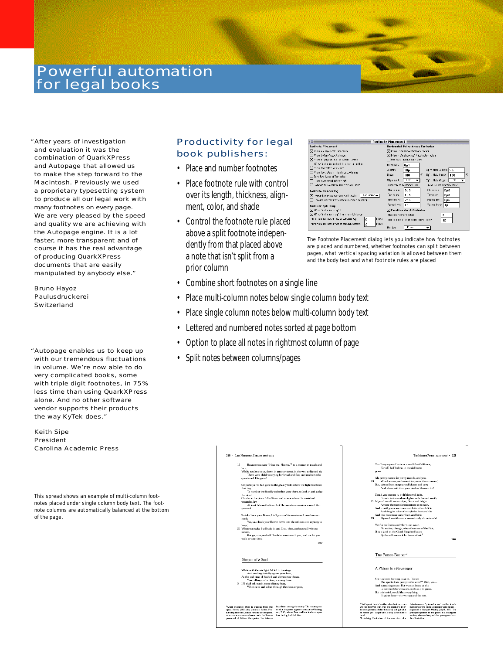# **Powerful automation** for legal books

"After years of investigation and evaluation it was the combination of QuarkXPress and Autopage that allowed us to make the step forward to the Macintosh. Previously we used a proprietary typesetting system to produce all our legal work with many footnotes on every page. We are very pleased by the speed and quality we are achieving with the Autopage engine. It is a lot faster, more transparent and of course it has the real advantage of producing QuarkXPress documents that are easily manipulated by anybody else."

**Bruno Havoz** Paulusdruckerei Switzerland

#### "Autopage enables us to keep up with our tremendous fluctuations in volume. We're now able to do very complicated books, some with triple digit footnotes, in 75% less time than using QuarkXPress alone. And no other software vendor supports their products the way KyTek does."

Keith Sipe **President** Carolina Academic Press

This spread shows an example of multi-column footnotes placed under single column body text. The footnote columns are automatically balanced at the bottom of the page.

## **Productivity for legal** book publishers:

- Place and number footnotes
- Place footnote rule with control over its length, thickness, alignment, color, and shade
- Control the footnote rule placed above a split footnote independently from that placed above a note that isn't split from a prior column

| <b>Footnote Placement</b><br>目前                                                     |                                                           |  |  |  |  |
|-------------------------------------------------------------------------------------|-----------------------------------------------------------|--|--|--|--|
| Fentante Placement                                                                  | Harizantal Rules Above Fentantes                          |  |  |  |  |
| 因 Flace on bace with ineference                                                     | ▶ Place rule above foct note rector                       |  |  |  |  |
| There before laquel change                                                          | □ Place rule above spill foctnote recion                  |  |  |  |  |
| [N] Place at page bullum at column preac-                                           | [1] Use leath intents for inclus                          |  |  |  |  |
| All is fund anders and art time then education                                      | Thickness<br>$0\nu$ 1                                     |  |  |  |  |
| [X] Flore foot only, he owner!                                                      | ep 1: Note Length: 5m<br>10n<br>Length:                   |  |  |  |  |
| Flece foothoted in infinitimact columns                                             | Eliouko:<br>Ey" . Note Shade:<br>l s<br>気<br>100<br>100   |  |  |  |  |
| $\Box$ Sent two tupes of foothsted                                                  |                                                           |  |  |  |  |
| icee numbered notes = cot                                                           | Tefr<br>Ey" . Note Alium<br>۰Ħ<br>Alica art I:            |  |  |  |  |
| Ed eatence notes geness multiple columns.                                           | EDGCC Above Foothatte Rule<br>EBaco Bellow Factrote Rule. |  |  |  |  |
| Footnate Mumbering                                                                  | <b>Milion</b><br>Mirinum<br>l DD6<br>Dp6                  |  |  |  |  |
| $ $ Cocument $\blacktriangledown$<br>$\boxtimes$ -enumber notes starting with sech: | Eptrimum.<br>Eptrimum.<br>1μ6<br>Dµ6                      |  |  |  |  |
| nevace wor ming at reptingte numbers missaine.                                      | Iflastmum:<br>If leating man<br>2ph<br>llin6              |  |  |  |  |
| Fournale Sulitting                                                                  | Fjored Machine<br>Fjorwill Mach<br>110                    |  |  |  |  |
| Nation odicles tesp 1                                                               | [/] Combine short feetwoles                               |  |  |  |  |
| [S] All which cleans political restriction page                                     | Plastmum shart notes:<br>к                                |  |  |  |  |
| Minimum formated need calcumn top<br>Lines<br>l2                                    | Michaeles encloses she't alger<br>$\mathbf{I}$            |  |  |  |  |
| Minimum feathotal ince at solumn pottom:<br>Lines<br>12                             | Daniel Co.                                                |  |  |  |  |

The Footnote Placement dialog lets you indicate how footnotes are placed and numbered, whether footnotes can split between pages, what vertical spacing variation is allowed between them and the body text and what footnote rules are placed

- Combine short footnotes on a single line
- Place multi-column notes below single column body text
- Place single column notes below multi-column body text
- Lettered and numbered notes sorted at page bottom
- Option to place all notes in rightmost column of page
- Split notes between columns/pages

| 220 - Late Ntretoenth Century: 1865-1910                                                                                                                                                                                                                                                                                                                                                                                                                                                                                                                                                                                                                                                                                                                                                                                                                                                                                                                     | The Modern Pertod: 1910-1945 . 221                                                                                                                                                                                                                                                                                                                                                                                                                                                                                                                                                                                                                                                                                                                                                                                                                                                                                                                |
|--------------------------------------------------------------------------------------------------------------------------------------------------------------------------------------------------------------------------------------------------------------------------------------------------------------------------------------------------------------------------------------------------------------------------------------------------------------------------------------------------------------------------------------------------------------------------------------------------------------------------------------------------------------------------------------------------------------------------------------------------------------------------------------------------------------------------------------------------------------------------------------------------------------------------------------------------------------|---------------------------------------------------------------------------------------------------------------------------------------------------------------------------------------------------------------------------------------------------------------------------------------------------------------------------------------------------------------------------------------------------------------------------------------------------------------------------------------------------------------------------------------------------------------------------------------------------------------------------------------------------------------------------------------------------------------------------------------------------------------------------------------------------------------------------------------------------------------------------------------------------------------------------------------------------|
|                                                                                                                                                                                                                                                                                                                                                                                                                                                                                                                                                                                                                                                                                                                                                                                                                                                                                                                                                              |                                                                                                                                                                                                                                                                                                                                                                                                                                                                                                                                                                                                                                                                                                                                                                                                                                                                                                                                                   |
| Because you same "Hear me, Norma," <sup>1</sup> to a woman in jewels and<br>15<br>lace.<br>While, so close to us, down in another street, in the wet, unlighted air,<br>There were children crying for bread and fire, and mothers who<br>questioned His grace?<br>Or perhaps He had gone to the ghastly field where the fight had been<br>that day.<br>To number the blockly staks that were there, to look at and jucker<br>the dead:<br>Or else to the place full of fever and moans where the wretched<br>wounded lay.<br>At least I do not believe that He cares to remember a word that<br>you said.<br>So take back your flower, I tell you-of its sweetness I now have no<br>need:<br>Yes, take back your flower down into the stillness and mystery to<br>keep:<br>20 When you wake I will take it, and God, then, perhaps will witness<br>indeed.<br>But go, now, and tell Death he must watch you, and not let you<br>walk in your sleep.<br>1857 | You'll say my soul buds as a small flush'd flower.<br>Far off, half hicling, in the old home-<br>sprane.<br>Ah, pretty names for pretty moods, and you,<br>Who love me, such sweet shapes as these can see:<br>10<br>But, take it from its sohere of bloom and deve<br>And where will then your bird or blossom be?<br>Could you but see it, by life's torrid light,<br>Crouch in its sands and glare with fire-red wrath.<br>15 My soul would seem a tiger, fierce and bright<br>Arrong the trembling passions in its path.<br>And, could you sometimes watch it coil and slide,<br>And drea its colors through the dust a while.<br>And hiss its poison under-foot, and hide,<br>20<br>My soul would seem a snaked-ah, do not smile!<br>Yet fiercer forms and viler it can wear.<br>No matter, though, when these are of the Past,<br>If as a lamb in the Good Shepherd's care<br>By the still waters it lie down at last. <sup>1</sup><br>1857 |
| Shapes of a Soul<br>White with the starlight folded in its wings,<br>And nestling timidly against your love,<br>At this soft time of hushed and elimmering things.<br>You call my soul a clove, a snowy clove.<br>5 If I shall ask you in some shining hour.<br>When bees and odors through the clear air pass.                                                                                                                                                                                                                                                                                                                                                                                                                                                                                                                                                                                                                                              | The Palace-Burner <sup>2</sup><br>A Picture in a Newspaper<br>She has been burning palaces. "To see<br>The sparks look pretty in the wind?" Well, yes-<br>And something more. But women brave as she<br>Leave much for cowards, such as I, to quess.<br>But this is old, so old that everything<br>Is ashes here-the woman and the rest.<br>Pran's point here is less that after death our sins<br>Petroleuse-or "palace-burner." as the female                                                                                                                                                                                                                                                                                                                                                                                                                                                                                                   |
| lower from among the enemy. The meeting nar-<br>'Albert tracectly, Platt is quoting from the<br>rated in the poon appears to occur in Washing-<br>opera Norma (1831) by Vincenzo Bellini. Pro-<br>ton, D.C., where Part and her husband sport<br>sum ably, like the Druidic heroine of the open,<br>time claring the Civil War.<br>who curries on a secret Italyce with the Roman<br>proconsul of Britain, the speaker has taken a                                                                                                                                                                                                                                                                                                                                                                                                                                                                                                                           | will be forgiven than that the speaker's teter-<br>members of the Paris Commune were called-<br>kacutor (presumably her husband) will get what<br>appaared in Flarpar's Weekly, July 8, 1871. The<br>he wants (an "arged-wife") only when she is<br>principal speaker to the poem is a bounged-<br>mother, who is talking with her young son about<br>deal.<br><sup>2</sup> A striking illustration of the execution of a<br>this illustration.                                                                                                                                                                                                                                                                                                                                                                                                                                                                                                   |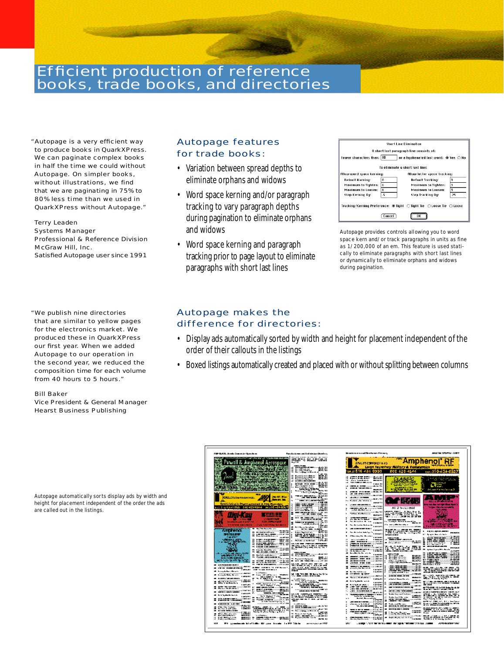# **Efficient production of reference** books, trade books, and directories

"Autopage is a very efficient way to produce books in QuarkXPress. We can paginate complex books in half the time we could without Autopage. On simpler books, without illustrations, we find that we are paginating in 75% to 80% less time than we used in Quark X Press without Autopage."

#### **Terry Leaden**

Systems Manager Professional & Reference Division McGraw Hill, Inc. Satisfied Autopage user since 1991

" We publish nine directories that are similar to yellow pages for the electronics market. We produced these in QuarkXPress our first year. When we added Autopage to our operation in the second year, we reduced the composition time for each volume from 40 hours to 5 hours."

#### Bill Baker

Vice President & General Manager Hearst Business Publishing

## Autopage features for trade books:

- Variation between spread depths to eliminate orphans and widows
- Word space kerning and/or paragraph tracking to vary paragraph depths during pagination to eliminate orphans and widows
- Word space kerning and paragraph tracking prior to page layout to eliminate paragraphs with short last lines



Autopage provides controls allowing you to word space kern and/or track paragraphs in units as fine as 1/200,000 of an em. This feature is used statically to eliminate paragraphs with short last lines or dynamically to eliminate orphans and widows during pagination.

## Autopage makes the difference for directories:

- Display ads automatically sorted by width and height for placement independent of the order of their callouts in the listings
- Boxed listings automatically created and placed with or without splitting between columns

| AMP BLACK, Drask: Domacia: Upercheas                                      |                                                                                                                                                                                                                                                                                                                                                                       | Rangforderen und Entwicken Dereturg                                                                                                                                                                                                                                                                                                                                                                                                 | Magnitude or a pool Fibraria may. Discovery                                                                                                                                                                                                                                                             | MARCOM CENERAL CORP.                                                                                                                                                                                                                                                                                                                                                                                                                                           |
|---------------------------------------------------------------------------|-----------------------------------------------------------------------------------------------------------------------------------------------------------------------------------------------------------------------------------------------------------------------------------------------------------------------------------------------------------------------|-------------------------------------------------------------------------------------------------------------------------------------------------------------------------------------------------------------------------------------------------------------------------------------------------------------------------------------------------------------------------------------------------------------------------------------|---------------------------------------------------------------------------------------------------------------------------------------------------------------------------------------------------------------------------------------------------------------------------------------------------------|----------------------------------------------------------------------------------------------------------------------------------------------------------------------------------------------------------------------------------------------------------------------------------------------------------------------------------------------------------------------------------------------------------------------------------------------------------------|
|                                                                           | <b>Sympatric Constitution of the Constitution of the Constitution of the Constitution of the Constitution of the Constitution of the Constitution of the Constitution of the Constitution of the Constitution of the Constitutio</b><br><b>E</b> Pawell & Amplend Aerospuce<br>- The Same And Aerospuce<br>- The Same And Aerospuce<br>- The Same Aerospuce Aerospuce | garis autrasi                                                                                                                                                                                                                                                                                                                                                                                                                       | $ -$<br><b>Portu</b><br><b>APRIL DE COMMISSION CO.</b>                                                                                                                                                                                                                                                  | Amphenol' RF                                                                                                                                                                                                                                                                                                                                                                                                                                                   |
|                                                                           |                                                                                                                                                                                                                                                                                                                                                                       | THUS NOT                                                                                                                                                                                                                                                                                                                                                                                                                            | Caren la ventory fillilary & Cemencroise                                                                                                                                                                                                                                                                |                                                                                                                                                                                                                                                                                                                                                                                                                                                                |
|                                                                           |                                                                                                                                                                                                                                                                                                                                                                       | Í.<br>ERRELL.                                                                                                                                                                                                                                                                                                                                                                                                                       | 20 B                                                                                                                                                                                                                                                                                                    | 420-4644<br>Fax: 516-434-632                                                                                                                                                                                                                                                                                                                                                                                                                                   |
|                                                                           |                                                                                                                                                                                                                                                                                                                                                                       |                                                                                                                                                                                                                                                                                                                                                                                                                                     |                                                                                                                                                                                                                                                                                                         |                                                                                                                                                                                                                                                                                                                                                                                                                                                                |
|                                                                           |                                                                                                                                                                                                                                                                                                                                                                       | is:<br>ă<br>建造法                                                                                                                                                                                                                                                                                                                                                                                                                     | 200100200110400                                                                                                                                                                                                                                                                                         |                                                                                                                                                                                                                                                                                                                                                                                                                                                                |
|                                                                           |                                                                                                                                                                                                                                                                                                                                                                       | <br>44                                                                                                                                                                                                                                                                                                                                                                                                                              | <b>SHASSIC</b><br>door to distant of<br>--<br>÷                                                                                                                                                                                                                                                         | a three meanings.com                                                                                                                                                                                                                                                                                                                                                                                                                                           |
|                                                                           |                                                                                                                                                                                                                                                                                                                                                                       | me erne saa                                                                                                                                                                                                                                                                                                                                                                                                                         | THE PARTIES OF LEADS<br>1.50-5.00<br><b>STATISTICS</b>                                                                                                                                                                                                                                                  | n ma                                                                                                                                                                                                                                                                                                                                                                                                                                                           |
|                                                                           | OF THE SALE AND THE COMPANY                                                                                                                                                                                                                                                                                                                                           | <b>Latin See With For</b>                                                                                                                                                                                                                                                                                                                                                                                                           | <b><i><u>INTERNATIONAL CONTINUES OF THE STATE OF THE STATE OF THE STATE OF THE STATE OF THE STATE OF THE STATE OF THE STATE OF THE STATE OF THE STATE OF THE STATE OF THE STATE OF THE STATE OF THE STATE OF THE STATE OF THE STATE </u></i></b><br><b>MARCH 2020</b><br><b>The General Corporation</b> |                                                                                                                                                                                                                                                                                                                                                                                                                                                                |
|                                                                           |                                                                                                                                                                                                                                                                                                                                                                       | <b>Service Company of Company</b>                                                                                                                                                                                                                                                                                                                                                                                                   | <b>STORES AND THE THE</b><br>------------                                                                                                                                                                                                                                                               | <b>Decision for moderning</b>                                                                                                                                                                                                                                                                                                                                                                                                                                  |
|                                                                           |                                                                                                                                                                                                                                                                                                                                                                       |                                                                                                                                                                                                                                                                                                                                                                                                                                     | ----------                                                                                                                                                                                                                                                                                              |                                                                                                                                                                                                                                                                                                                                                                                                                                                                |
| осисторически места                                                       | 27<br><b>SAME BIM</b><br>distance for                                                                                                                                                                                                                                                                                                                                 | $- - - - -$                                                                                                                                                                                                                                                                                                                                                                                                                         | distant comments                                                                                                                                                                                                                                                                                        |                                                                                                                                                                                                                                                                                                                                                                                                                                                                |
|                                                                           |                                                                                                                                                                                                                                                                                                                                                                       |                                                                                                                                                                                                                                                                                                                                                                                                                                     | 4444771                                                                                                                                                                                                                                                                                                 | <b>GLACIE ANTICOLA</b>                                                                                                                                                                                                                                                                                                                                                                                                                                         |
| forcialized in Chat Captured & Chip Planning                              |                                                                                                                                                                                                                                                                                                                                                                       | 555 37                                                                                                                                                                                                                                                                                                                                                                                                                              | <b><i>COMMOD PRODUCTS IN</i></b>                                                                                                                                                                                                                                                                        | from our class and that things that it                                                                                                                                                                                                                                                                                                                                                                                                                         |
| 2-wednesday                                                               | 5904254344 MOTOR-248357                                                                                                                                                                                                                                                                                                                                               |                                                                                                                                                                                                                                                                                                                                                                                                                                     | AX 215-723-9555<br><b>CONTRACTOR CONTRACTOR</b><br><b>CONTACT AND INCOME.</b>                                                                                                                                                                                                                           | Technic Christian Consulation                                                                                                                                                                                                                                                                                                                                                                                                                                  |
|                                                                           |                                                                                                                                                                                                                                                                                                                                                                       | m<br><b>The Secret State Control</b><br>н                                                                                                                                                                                                                                                                                                                                                                                           | an ma antara<br>Wasan a<br>. 18. . 77<br><b>Safer de Beterre</b>                                                                                                                                                                                                                                        | <b>NEWT-</b>                                                                                                                                                                                                                                                                                                                                                                                                                                                   |
|                                                                           | <u>(FIFILE)</u>                                                                                                                                                                                                                                                                                                                                                       |                                                                                                                                                                                                                                                                                                                                                                                                                                     | monars.                                                                                                                                                                                                                                                                                                 | <b>TANK</b>                                                                                                                                                                                                                                                                                                                                                                                                                                                    |
| <b>CONTRACTOR</b>                                                         | <b>INSTRUCTION</b>                                                                                                                                                                                                                                                                                                                                                    | <b>Service Constitution Constitution</b><br>н                                                                                                                                                                                                                                                                                                                                                                                       | Andrew Constitution (1980)                                                                                                                                                                                                                                                                              | <b>CONTRACTOR</b>                                                                                                                                                                                                                                                                                                                                                                                                                                              |
| <b>MARKAN CORPORATION</b>                                                 | <b>KIN JUNEAU ALL</b>                                                                                                                                                                                                                                                                                                                                                 | Е                                                                                                                                                                                                                                                                                                                                                                                                                                   | a de completa de la contenentación de la contenentación de la contenentación de la contenentación de la contenentación de la contenentación de la contenentación de la contenentación de la contenentación de la contenentació<br>Secretaries for the<br>1000201                                        | 08149225236                                                                                                                                                                                                                                                                                                                                                                                                                                                    |
| <b>A reference in a contract</b>                                          | <b>I was him the company of the company</b>                                                                                                                                                                                                                                                                                                                           | ۰                                                                                                                                                                                                                                                                                                                                                                                                                                   | المراجع والمستنقد والمتلقين والمستردة<br>The Refunding References<br><b>I MANES</b>                                                                                                                                                                                                                     | <b>President Analysis (No Dental)</b>                                                                                                                                                                                                                                                                                                                                                                                                                          |
| <b>ARTISTIN</b>                                                           | <b>New Print, Benedict Lands</b>                                                                                                                                                                                                                                                                                                                                      | Com Bon<br>-                                                                                                                                                                                                                                                                                                                                                                                                                        | --------<br><b>LIMMED</b>                                                                                                                                                                                                                                                                               |                                                                                                                                                                                                                                                                                                                                                                                                                                                                |
|                                                                           | ACCORDING TO MAKING<br>$\overline{\phantom{a}}$                                                                                                                                                                                                                                                                                                                       |                                                                                                                                                                                                                                                                                                                                                                                                                                     | <u>Service Count</u><br>The Collection Selection Co.<br><b>COMMENT</b>                                                                                                                                                                                                                                  | <b><i><u>SAYSI-RESERVED</u></i></b><br>----<br>Northern Beats and States                                                                                                                                                                                                                                                                                                                                                                                       |
|                                                                           | <b>SECONDED STATE</b><br>я<br>1.0788                                                                                                                                                                                                                                                                                                                                  |                                                                                                                                                                                                                                                                                                                                                                                                                                     | --------<br><b>Chairman Company Company</b><br>101001                                                                                                                                                                                                                                                   |                                                                                                                                                                                                                                                                                                                                                                                                                                                                |
|                                                                           |                                                                                                                                                                                                                                                                                                                                                                       | <b>PRAYE</b> 40                                                                                                                                                                                                                                                                                                                                                                                                                     | a <b>Maria de Julio</b><br>------<br>------                                                                                                                                                                                                                                                             |                                                                                                                                                                                                                                                                                                                                                                                                                                                                |
|                                                                           | 101223.02019<br>Ξ                                                                                                                                                                                                                                                                                                                                                     | <b>ALLINE OF PRODUCT STORAGE</b>                                                                                                                                                                                                                                                                                                                                                                                                    | 1555-1688<br><b>Committee Committee Committee</b>                                                                                                                                                                                                                                                       | EXE -20                                                                                                                                                                                                                                                                                                                                                                                                                                                        |
|                                                                           | <b><i><u><u>A DAMES AND ARRESTS</u>T</u></i></b>                                                                                                                                                                                                                                                                                                                      | ಪ್ರಯೋಗಿಯ ಹಿನಾಯ ಕುಳಾರಣ<br>n                                                                                                                                                                                                                                                                                                                                                                                                          | in de France de Brasilia<br>France de Serie Brasilia<br>France France de France                                                                                                                                                                                                                         | ---------<br><b>FACABLE</b>                                                                                                                                                                                                                                                                                                                                                                                                                                    |
|                                                                           | ereks 188<br>$\overline{\phantom{a}}$<br><b>PERSONAL PROPERTY</b><br>$\blacksquare$                                                                                                                                                                                                                                                                                   |                                                                                                                                                                                                                                                                                                                                                                                                                                     | 10050000101010-0010101<br><br>A A Morrison                                                                                                                                                                                                                                                              | <b>The Second Control of the Control</b><br>$1 - 14 = 7$                                                                                                                                                                                                                                                                                                                                                                                                       |
| <b>COMPANY CREW WITH</b>                                                  | communicant<br>$\blacksquare$                                                                                                                                                                                                                                                                                                                                         | - Maria Propinsi<br>20 - Maria Bander, amerikan menjadi kalendar<br>20 - Maria Jawa Bander, aktor                                                                                                                                                                                                                                                                                                                                   | <b>Bandario Bandario</b><br><b>MELITAR</b><br>$1 - 1/1 = 1$                                                                                                                                                                                                                                             | <b>ECONDIAN</b><br>Ê<br><b>MARGER</b>                                                                                                                                                                                                                                                                                                                                                                                                                          |
| 201110002000336                                                           | <b>CARD - COMPLETE</b><br>-<br>                                                                                                                                                                                                                                                                                                                                       | 25.00<br>أستروح والمتاريخ والمتاريخ                                                                                                                                                                                                                                                                                                                                                                                                 | a teisime<br><b>はなかし おおす おおし シーン・トレックス</b>                                                                                                                                                                                                                                                              | 颤动                                                                                                                                                                                                                                                                                                                                                                                                                                                             |
| <b>HONOR WHAT WAS</b>                                                     | man consumers was<br>Promoted Fabric children<br>≕                                                                                                                                                                                                                                                                                                                    | --------------------                                                                                                                                                                                                                                                                                                                                                                                                                | <b>Record Biblion of</b><br>---- -- --                                                                                                                                                                                                                                                                  | <b>MARINE - 1990</b><br>$-$                                                                                                                                                                                                                                                                                                                                                                                                                                    |
| <b>MERCHANICS</b>                                                         | <b>THE REPORT OF A REAL PROPERTY</b><br>-                                                                                                                                                                                                                                                                                                                             | andar menyebar mengende<br>Tanggarang mengendek                                                                                                                                                                                                                                                                                                                                                                                     | アクセル アクセルタン はなし シー・アン・パンチン                                                                                                                                                                                                                                                                              | <b>THEFT</b>                                                                                                                                                                                                                                                                                                                                                                                                                                                   |
| a noong <sup>an</sup>                                                     | <b>AND UPPER STREET</b><br><b>ENGINEER CONTRACTOR COMMUNISTIC</b>                                                                                                                                                                                                                                                                                                     | <i><b>SERVICE-1982 WATER</b></i>                                                                                                                                                                                                                                                                                                                                                                                                    | <b>STATISTICS</b> IN THE PARTY OF THE REAL<br>31355-108<br>1.54544.00                                                                                                                                                                                                                                   |                                                                                                                                                                                                                                                                                                                                                                                                                                                                |
| ang dan kara-bang di kacamatan<br><u>in in a great component a Martin</u> | <b>Service Administration</b>                                                                                                                                                                                                                                                                                                                                         | ---                                                                                                                                                                                                                                                                                                                                                                                                                                 | $B_1, B_2, C_3, C_4, C_5, C_6$<br>11.7481<br>$1.144$ and the last<br><b><i>DESTRESS MARKET</i></b>                                                                                                                                                                                                      | ta kaina sea                                                                                                                                                                                                                                                                                                                                                                                                                                                   |
| compatibility the series<br><b>COMMER</b>                                 | Witness and Continuum in Markets                                                                                                                                                                                                                                                                                                                                      | wir geraum gemeinteren.<br>Geschichte                                                                                                                                                                                                                                                                                                                                                                                               | ana an am <sup>19</sup> mm<br>---- <b>---</b> -                                                                                                                                                                                                                                                         | an banda ang kalawat ng Kalendar.<br>Kabupatèn Kalendar Sulawe ng Kalendar.<br>Kabupatèn Kalendar Sulawe ng Kabupatèn Sulawe ng Kabupatèn Sulawe ng Kabupatèn Sulawe ng Kabupatèn Sulawe ng K<br>---                                                                                                                                                                                                                                                           |
| <b>A LONDON SHOWS AND ALL</b><br>.<br>                                    | <b>STATISTICS</b>                                                                                                                                                                                                                                                                                                                                                     |                                                                                                                                                                                                                                                                                                                                                                                                                                     | 1404-01<br>وذه ما استنا الرضاف                                                                                                                                                                                                                                                                          | $- - -$                                                                                                                                                                                                                                                                                                                                                                                                                                                        |
| 1 MARCH<br>evenen                                                         | <b>SERVICE SHIP</b>                                                                                                                                                                                                                                                                                                                                                   |                                                                                                                                                                                                                                                                                                                                                                                                                                     | <b>BANGARE STAR</b><br>14415-011<br>2020 - 2020 - 2020 - 2020 - 2020 - 2020 - 2020 - 2020 - 2020 - 2020 - 2020 - 2020 - 2020 - 2020 - 2020 - 2020<br>2020 - 2020 - 2020 - 2020 - 2020 - 2020 - 2020 - 2020 - 2020 - 2020 - 2020 - 2020 - 2020 - 2020 - 2020 - 2020                                      | <b>CONTRACTOR</b>                                                                                                                                                                                                                                                                                                                                                                                                                                              |
| <b>CARGO</b>                                                              |                                                                                                                                                                                                                                                                                                                                                                       | $\begin{array}{cccccccccc} \mathbf{1} & \mathbf{1} & \mathbf{1} & \mathbf{1} & \mathbf{1} & \mathbf{1} & \mathbf{1} & \mathbf{1} & \mathbf{1} & \mathbf{1} & \mathbf{1} & \mathbf{1} & \mathbf{1} & \mathbf{1} & \mathbf{1} & \mathbf{1} & \mathbf{1} & \mathbf{1} & \mathbf{1} & \mathbf{1} & \mathbf{1} & \mathbf{1} & \mathbf{1} & \mathbf{1} & \mathbf{1} & \mathbf{1} & \mathbf{1} & \mathbf{1} & \mathbf{1} & \mathbf{1} & \$ | <b><i><u><i><u>ALLASSER</u></i></u></i></b><br>1.411491<br>mana ang <sup>ang</sup><br>where there are no company to a track                                                                                                                                                                             | ---                                                                                                                                                                                                                                                                                                                                                                                                                                                            |
| . <b>.</b> .<br>arah sain salah <sup>ka</sup> tan i                       | 191219-1-022                                                                                                                                                                                                                                                                                                                                                          | <b>CONSIGNATION</b>                                                                                                                                                                                                                                                                                                                                                                                                                 | <b>Service Construction</b><br>$-0.01$ . All $-0.01$ and $-0.01$ $-0.01$                                                                                                                                                                                                                                | 청구입(SAS) 정보 정부 방송 역                                                                                                                                                                                                                                                                                                                                                                                                                                            |
| <b>LARGER</b><br><b><i>BASILIBO MALE</i></b>                              | www.communication                                                                                                                                                                                                                                                                                                                                                     |                                                                                                                                                                                                                                                                                                                                                                                                                                     | --------------------<br>The property company for the property of the party                                                                                                                                                                                                                              | ALCOHOL: INVESTIGATION INTO A REPORT OF A SALE                                                                                                                                                                                                                                                                                                                                                                                                                 |
| 1405071                                                                   | a complete theme                                                                                                                                                                                                                                                                                                                                                      | an wasan wasan ing                                                                                                                                                                                                                                                                                                                                                                                                                  | <b>NATIONAL MEET</b><br>Southern St. and Mid-Print,                                                                                                                                                                                                                                                     | <b>STATISTICS</b><br>STATISTICS<br>STATISTICS                                                                                                                                                                                                                                                                                                                                                                                                                  |
| an ann an Chairman (1911).<br>Chairman                                    | <b>CLAIM - REGIST - - - - - F.F. - 85</b><br>⊷<br>and the formation of the first state                                                                                                                                                                                                                                                                                | are use your ca. in your, we win all.                                                                                                                                                                                                                                                                                                                                                                                               | man, maandigte <sub>van</sub><br><b>SECURITY AND SECURITY OF A STATE OF A STATE OF A STATE OF A STATE OF A STATE OF A STATE OF A STATE OF A STATE</b>                                                                                                                                                   | design and strengthen, and is a member of                                                                                                                                                                                                                                                                                                                                                                                                                      |
| . 49 MM<br>----------                                                     |                                                                                                                                                                                                                                                                                                                                                                       | <b>LOWERS</b>                                                                                                                                                                                                                                                                                                                                                                                                                       | above, in this and in a sections<br>The Country Corp.                                                                                                                                                                                                                                                   | <b>CONSIDER</b><br>Subject to the Constitution of the Constitution                                                                                                                                                                                                                                                                                                                                                                                             |
| <b>Child Islan</b><br>$\sim$                                              | 10000000000                                                                                                                                                                                                                                                                                                                                                           | a annun comhainn<br>--------------------                                                                                                                                                                                                                                                                                                                                                                                            | ----------<br><b>But the first continue of the</b><br><b>AATL 11</b><br><b>WELL WALKERS OF STATE</b>                                                                                                                                                                                                    | <b>THE REPORT OF A STATE</b>                                                                                                                                                                                                                                                                                                                                                                                                                                   |
| <b>MARK WHATER</b>                                                        |                                                                                                                                                                                                                                                                                                                                                                       | 19 For a substance of the state of<br><b>September</b>                                                                                                                                                                                                                                                                                                                                                                              | ----------------                                                                                                                                                                                                                                                                                        |                                                                                                                                                                                                                                                                                                                                                                                                                                                                |
| F 199<br><b>Experience</b>                                                | <b>CASAGE</b>                                                                                                                                                                                                                                                                                                                                                         | 19. Para Lister Syde                                                                                                                                                                                                                                                                                                                                                                                                                | <b>Contact of Contact Oriental</b><br>2 iliyahayu                                                                                                                                                                                                                                                       |                                                                                                                                                                                                                                                                                                                                                                                                                                                                |
| Police Bolton Links<br>Follows Makers                                     | 2001 - 2001 2010 - 2010                                                                                                                                                                                                                                                                                                                                               | of any complete community<br>---                                                                                                                                                                                                                                                                                                                                                                                                    | <b>CONTRACTOR IN THE CONTRACTOR</b><br>On the Hollowsky, Charles of                                                                                                                                                                                                                                     | $\begin{array}{lllllllllllll} \hline \text{Tr}(\mathbf{X}^{\text{max}}_{\text{max}}) & \text{Tr}(\mathbf{X}^{\text{max}}_{\text{max}}) & \text{Tr}(\mathbf{X}^{\text{max}}_{\text{max}}) & \text{Tr}(\mathbf{X}^{\text{max}}_{\text{max}}) & \text{Tr}(\mathbf{X}^{\text{max}}_{\text{max}}) & \text{Tr}(\mathbf{X}^{\text{max}}_{\text{max}}) & \text{Tr}(\mathbf{X}^{\text{max}}_{\text{max}}) & \text{Tr}(\mathbf{X}^{\text{max}}_{\text{max}}) & \text{Tr$ |
|                                                                           |                                                                                                                                                                                                                                                                                                                                                                       |                                                                                                                                                                                                                                                                                                                                                                                                                                     |                                                                                                                                                                                                                                                                                                         |                                                                                                                                                                                                                                                                                                                                                                                                                                                                |
| -18                                                                       |                                                                                                                                                                                                                                                                                                                                                                       | 200 minutes de la affidita 122 juny la color de 100 fille la represencació 1000.                                                                                                                                                                                                                                                                                                                                                    | un c<br>LA REGIA ". "A" PI " DI MA " AND " DE " DA " AGU DE " PINT BANA" " PI " DAAL " LA DEBAH                                                                                                                                                                                                         | ACCOMMUNICATIONS                                                                                                                                                                                                                                                                                                                                                                                                                                               |

Autopage automatically sor ts display ads by width and height for placement independent of the order the ads are called out in the listings.